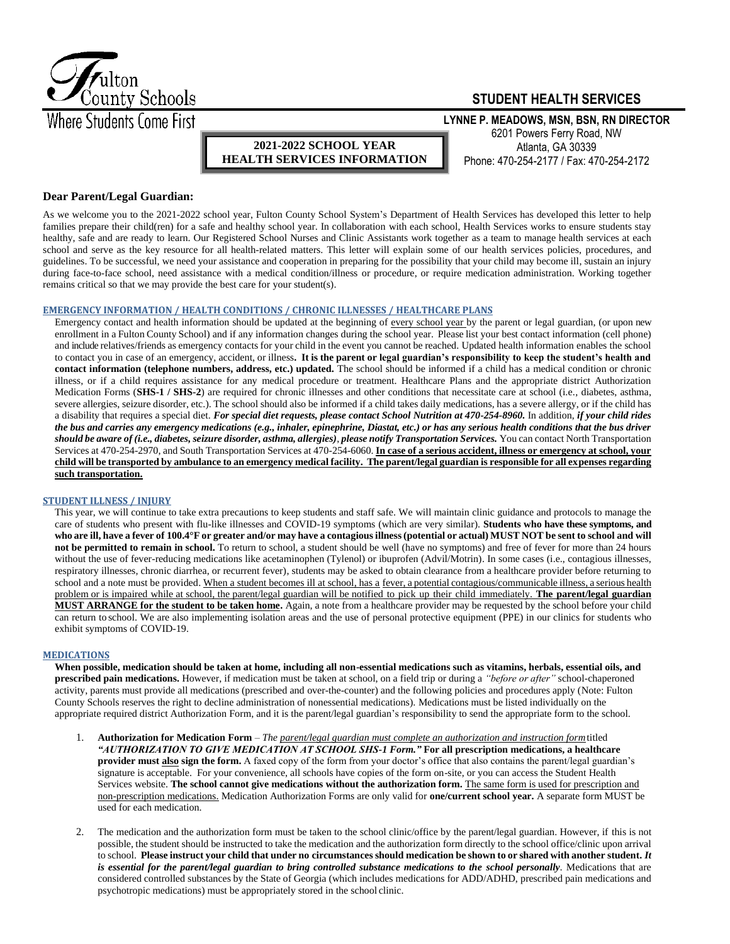

# **STUDENT HEALTH SERVICES**

**LYNNE P. MEADOWS, MSN, BSN, RN DIRECTOR**  6201 Powers Ferry Road, NW Atlanta, GA 30339 Phone: 470-254-2177 / Fax: 470-254-2172

## **Dear Parent/Legal Guardian:**

As we welcome you to the 2021-2022 school year, Fulton County School System's Department of Health Services has developed this letter to help families prepare their child(ren) for a safe and healthy school year. In collaboration with each school, Health Services works to ensure students stay healthy, safe and are ready to learn. Our Registered School Nurses and Clinic Assistants work together as a team to manage health services at each school and serve as the key resource for all health-related matters. This letter will explain some of our health services policies, procedures, and guidelines. To be successful, we need your assistance and cooperation in preparing for the possibility that your child may become ill, sustain an injury during face-to-face school, need assistance with a medical condition/illness or procedure, or require medication administration. Working together remains critical so that we may provide the best care for your student(s).

**2021-2022 SCHOOL YEAR HEALTH SERVICES INFORMATION**

### **EMERGENCY INFORMATION / HEALTH CONDITIONS / CHRONIC ILLNESSES / HEALTHCARE PLANS**

Emergency contact and health information should be updated at the beginning of every school year by the parent or legal guardian, (or upon new enrollment in a Fulton County School) and if any information changes during the school year. Please list your best contact information (cell phone) and include relatives/friends as emergency contacts for your child in the event you cannot be reached. Updated health information enables the school to contact you in case of an emergency, accident, or illness**. It is the parent or legal guardian's responsibility to keep the student's health and contact information (telephone numbers, address, etc.) updated.** The school should be informed if a child has a medical condition or chronic illness, or if a child requires assistance for any medical procedure or treatment. Healthcare Plans and the appropriate district Authorization Medication Forms (SHS-1 / SHS-2) are required for chronic illnesses and other conditions that necessitate care at school (i.e., diabetes, asthma, severe allergies, seizure disorder, etc.). The school should also be informed if a child takes daily medications, has a severe allergy, or if the child has a disability that requires a special diet. *For special diet requests, please contact School Nutrition at 470-254-8960.* In addition, *if your child rides the bus and carries any emergency medications (e.g., inhaler, epinephrine, Diastat, etc.) or has any serious health conditions that the bus driver should be aware of (i.e., diabetes, seizure disorder, asthma, allergies)*, *please notify Transportation Services.* You can contact North Transportation Services at 470-254-2970, and South Transportation Services at 470-254-6060. **In case of a serious accident, illness or emergency at school, your child will be transported by ambulance to an emergency medical facility. The parent/legal guardian is responsible for all expenses regarding such transportation.**

#### **STUDENT ILLNESS / INJURY**

This year, we will continue to take extra precautions to keep students and staff safe. We will maintain clinic guidance and protocols to manage the care of students who present with flu-like illnesses and COVID-19 symptoms (which are very similar). **Students who have these symptoms, and**  who are ill, have a fever of 100.4°F or greater and/or may have a contagious illness (potential or actual) MUST NOT be sent to school and will **not be permitted to remain in school.** To return to school, a student should be well (have no symptoms) and free of fever for more than 24 hours without the use of fever-reducing medications like acetaminophen (Tylenol) or ibuprofen (Advil/Motrin). In some cases (i.e., contagious illnesses, respiratory illnesses, chronic diarrhea, or recurrent fever), students may be asked to obtain clearance from a healthcare provider before returning to school and a note must be provided. When a student becomes ill at school, has a fever, a potential contagious/communicable illness, a serious health problem or is impaired while at school, the parent/legal guardian will be notified to pick up their child immediately. **The parent/legal guardian MUST ARRANGE for the student to be taken home.** Again, a note from a healthcare provider may be requested by the school before your child can return to school. We are also implementing isolation areas and the use of personal protective equipment (PPE) in our clinics for students who exhibit symptoms of COVID-19.

## **MEDICATIONS**

**When possible, medication should be taken at home, including all non-essential medications such as vitamins, herbals, essential oils, and prescribed pain medications.** However, if medication must be taken at school, on a field trip or during a *"before or after"* school-chaperoned activity, parents must provide all medications (prescribed and over-the-counter) and the following policies and procedures apply (Note: Fulton County Schools reserves the right to decline administration of nonessential medications). Medications must be listed individually on the appropriate required district Authorization Form, and it is the parent/legal guardian's responsibility to send the appropriate form to the school.

- 1. **Authorization for Medication Form**  *The parent/legal guardian must complete an authorization and instruction form*titled *"AUTHORIZATION TO GIVE MEDICATION AT SCHOOL SHS-1 Form."* **For all prescription medications, a healthcare provider must also sign the form.** A faxed copy of the form from your doctor's office that also contains the parent/legal guardian's signature is acceptable. For your convenience, all schools have copies of the form on-site, or you can access the Student Health Services website. **The school cannot give medications without the authorization form.** The same form is used for prescription and non-prescription medications. Medication Authorization Forms are only valid for **one/current school year.** A separate form MUST be used for each medication.
- 2. The medication and the authorization form must be taken to the school clinic/office by the parent/legal guardian. However, if this is not possible, the student should be instructed to take the medication and the authorization form directly to the school office/clinic upon arrival to school. Please instruct your child that under no circumstances should medication be shown to or shared with another student. It *is essential for the parent/legal guardian to bring controlled substance medications to the school personally.* Medications that are considered controlled substances by the State of Georgia (which includes medications for ADD/ADHD, prescribed pain medications and psychotropic medications) must be appropriately stored in the school clinic.